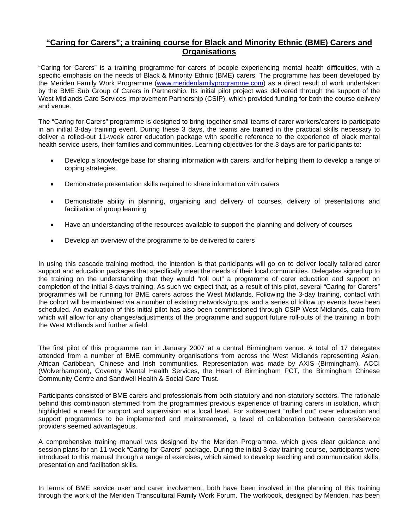## **"Caring for Carers"; a training course for Black and Minority Ethnic (BME) Carers and Organisations**

"Caring for Carers" is a training programme for carers of people experiencing mental health difficulties, with a specific emphasis on the needs of Black & Minority Ethnic (BME) carers. The programme has been developed by the Meriden Family Work Programme ([www.meridenfamilyprogramme.com](http://www.meridenfamilyprogramme.com/)) as a direct result of work undertaken by the BME Sub Group of Carers in Partnership. Its initial pilot project was delivered through the support of the West Midlands Care Services Improvement Partnership (CSIP), which provided funding for both the course delivery and venue.

The "Caring for Carers" programme is designed to bring together small teams of carer workers/carers to participate in an initial 3-day training event. During these 3 days, the teams are trained in the practical skills necessary to deliver a rolled-out 11-week carer education package with specific reference to the experience of black mental health service users, their families and communities. Learning objectives for the 3 days are for participants to:

- Develop a knowledge base for sharing information with carers, and for helping them to develop a range of coping strategies.
- Demonstrate presentation skills required to share information with carers
- Demonstrate ability in planning, organising and delivery of courses, delivery of presentations and facilitation of group learning
- Have an understanding of the resources available to support the planning and delivery of courses
- Develop an overview of the programme to be delivered to carers

In using this cascade training method, the intention is that participants will go on to deliver locally tailored carer support and education packages that specifically meet the needs of their local communities. Delegates signed up to the training on the understanding that they would "roll out" a programme of carer education and support on completion of the initial 3-days training. As such we expect that, as a result of this pilot, several "Caring for Carers" programmes will be running for BME carers across the West Midlands. Following the 3-day training, contact with the cohort will be maintained via a number of existing networks/groups, and a series of follow up events have been scheduled. An evaluation of this initial pilot has also been commissioned through CSIP West Midlands, data from which will allow for any changes/adjustments of the programme and support future roll-outs of the training in both the West Midlands and further a field.

The first pilot of this programme ran in January 2007 at a central Birmingham venue. A total of 17 delegates attended from a number of BME community organisations from across the West Midlands representing Asian, African Caribbean, Chinese and Irish communities. Representation was made by AXIS (Birmingham), ACCI (Wolverhampton), Coventry Mental Health Services, the Heart of Birmingham PCT, the Birmingham Chinese Community Centre and Sandwell Health & Social Care Trust.

Participants consisted of BME carers and professionals from both statutory and non-statutory sectors. The rationale behind this combination stemmed from the programmes previous experience of training carers in isolation, which highlighted a need for support and supervision at a local level. For subsequent "rolled out" carer education and support programmes to be implemented and mainstreamed, a level of collaboration between carers/service providers seemed advantageous.

A comprehensive training manual was designed by the Meriden Programme, which gives clear guidance and session plans for an 11-week "Caring for Carers" package. During the initial 3-day training course, participants were introduced to this manual through a range of exercises, which aimed to develop teaching and communication skills, presentation and facilitation skills.

In terms of BME service user and carer involvement, both have been involved in the planning of this training through the work of the Meriden Transcultural Family Work Forum. The workbook, designed by Meriden, has been